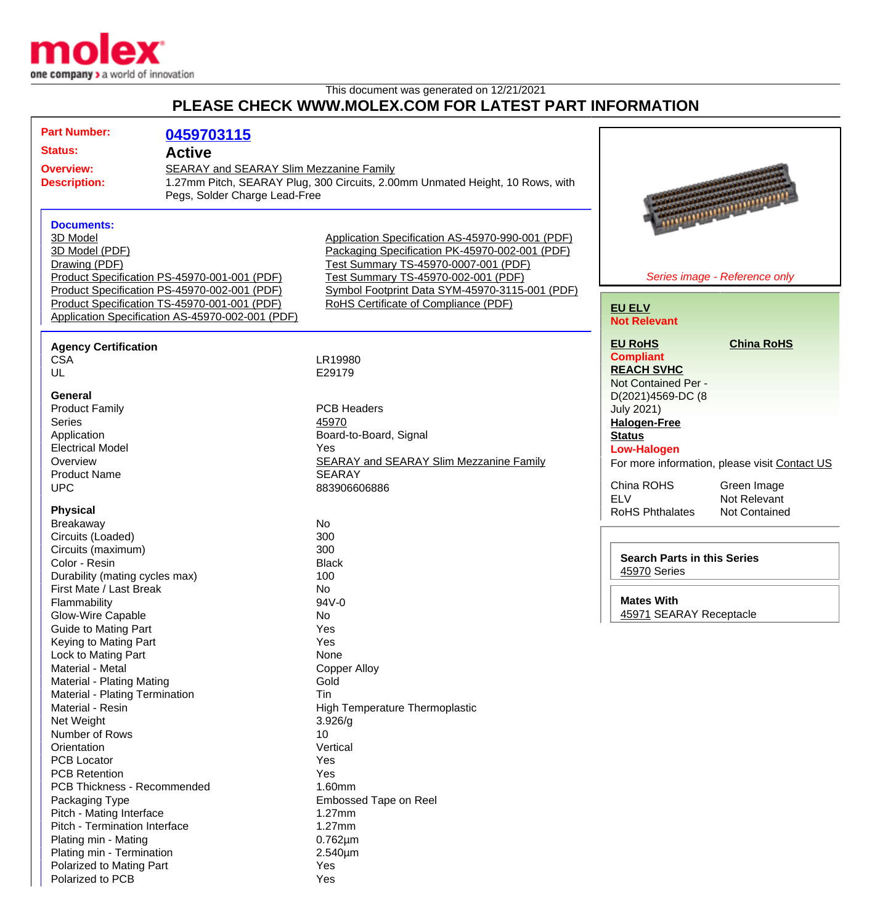

This document was generated on 12/21/2021

## **PLEASE CHECK WWW.MOLEX.COM FOR LATEST PART INFORMATION**

| <b>Part Number:</b>                                         | 0459703115                                   |                                                                               |                                      |                                               |
|-------------------------------------------------------------|----------------------------------------------|-------------------------------------------------------------------------------|--------------------------------------|-----------------------------------------------|
| <b>Status:</b>                                              | <b>Active</b>                                |                                                                               |                                      |                                               |
| <b>Overview:</b><br>SEARAY and SEARAY Slim Mezzanine Family |                                              |                                                                               |                                      |                                               |
| <b>Description:</b>                                         |                                              | 1.27mm Pitch, SEARAY Plug, 300 Circuits, 2.00mm Unmated Height, 10 Rows, with |                                      |                                               |
| Pegs, Solder Charge Lead-Free                               |                                              |                                                                               |                                      |                                               |
|                                                             |                                              |                                                                               |                                      |                                               |
| <b>Documents:</b>                                           |                                              |                                                                               |                                      | <b>THE EXPERIENCE OF STREET</b>               |
| 3D Model                                                    |                                              | Application Specification AS-45970-990-001 (PDF)                              |                                      |                                               |
| 3D Model (PDF)                                              |                                              | Packaging Specification PK-45970-002-001 (PDF)                                |                                      |                                               |
| Drawing (PDF)                                               |                                              | Test Summary TS-45970-0007-001 (PDF)                                          |                                      |                                               |
| Product Specification PS-45970-001-001 (PDF)                |                                              | Test Summary TS-45970-002-001 (PDF)                                           |                                      | Series image - Reference only                 |
|                                                             | Product Specification PS-45970-002-001 (PDF) | Symbol Footprint Data SYM-45970-3115-001 (PDF)                                |                                      |                                               |
| Product Specification TS-45970-001-001 (PDF)                |                                              | RoHS Certificate of Compliance (PDF)                                          | <b>EU ELV</b>                        |                                               |
| Application Specification AS-45970-002-001 (PDF)            |                                              |                                                                               | <b>Not Relevant</b>                  |                                               |
|                                                             |                                              |                                                                               |                                      |                                               |
| <b>Agency Certification</b>                                 |                                              |                                                                               | <b>EU RoHS</b>                       | <b>China RoHS</b>                             |
| <b>CSA</b>                                                  |                                              | LR19980                                                                       | <b>Compliant</b>                     |                                               |
| UL                                                          |                                              | E29179                                                                        | <b>REACH SVHC</b>                    |                                               |
|                                                             |                                              |                                                                               | Not Contained Per -                  |                                               |
| <b>General</b>                                              |                                              |                                                                               | D(2021)4569-DC (8                    |                                               |
| <b>Product Family</b>                                       |                                              | <b>PCB Headers</b>                                                            | <b>July 2021)</b>                    |                                               |
| <b>Series</b>                                               |                                              | 45970                                                                         | <b>Halogen-Free</b>                  |                                               |
| Application                                                 |                                              | Board-to-Board, Signal                                                        | <b>Status</b>                        |                                               |
| <b>Electrical Model</b>                                     |                                              | Yes                                                                           | <b>Low-Halogen</b>                   |                                               |
| Overview                                                    |                                              | <b>SEARAY and SEARAY Slim Mezzanine Family</b>                                |                                      | For more information, please visit Contact US |
| <b>Product Name</b>                                         |                                              | <b>SEARAY</b>                                                                 |                                      |                                               |
| <b>UPC</b>                                                  |                                              | 883906606886                                                                  | China ROHS                           | Green Image                                   |
| <b>Physical</b>                                             |                                              |                                                                               | <b>ELV</b><br><b>RoHS Phthalates</b> | Not Relevant                                  |
| <b>Breakaway</b>                                            |                                              | No                                                                            |                                      | Not Contained                                 |
| Circuits (Loaded)                                           |                                              | 300                                                                           |                                      |                                               |
| Circuits (maximum)                                          |                                              | 300                                                                           |                                      |                                               |
| Color - Resin                                               |                                              | <b>Black</b>                                                                  | <b>Search Parts in this Series</b>   |                                               |
| Durability (mating cycles max)                              |                                              | 100                                                                           | 45970 Series                         |                                               |
| First Mate / Last Break                                     |                                              | No                                                                            |                                      |                                               |
| Flammability                                                |                                              | 94V-0                                                                         | <b>Mates With</b>                    |                                               |
| Glow-Wire Capable                                           |                                              | No                                                                            | 45971 SEARAY Receptacle              |                                               |
| <b>Guide to Mating Part</b>                                 |                                              | Yes                                                                           |                                      |                                               |
| Keying to Mating Part                                       |                                              | Yes                                                                           |                                      |                                               |
| Lock to Mating Part                                         |                                              | None                                                                          |                                      |                                               |
| Material - Metal                                            |                                              | <b>Copper Alloy</b>                                                           |                                      |                                               |
| Material - Plating Mating                                   |                                              | Gold                                                                          |                                      |                                               |
| Material - Plating Termination                              |                                              | Tin                                                                           |                                      |                                               |
| Material - Resin                                            |                                              | High Temperature Thermoplastic                                                |                                      |                                               |
| Net Weight                                                  |                                              | 3.926/g                                                                       |                                      |                                               |
| Number of Rows                                              |                                              | 10                                                                            |                                      |                                               |
| Orientation                                                 |                                              | Vertical                                                                      |                                      |                                               |
| <b>PCB Locator</b>                                          |                                              | Yes                                                                           |                                      |                                               |
| <b>PCB Retention</b>                                        |                                              | Yes                                                                           |                                      |                                               |
| PCB Thickness - Recommended                                 |                                              | 1.60mm                                                                        |                                      |                                               |
| Packaging Type                                              |                                              | Embossed Tape on Reel                                                         |                                      |                                               |
| Pitch - Mating Interface                                    |                                              | 1.27mm                                                                        |                                      |                                               |
| Pitch - Termination Interface                               |                                              | 1.27mm                                                                        |                                      |                                               |
| Plating min - Mating                                        |                                              | $0.762 \mu m$                                                                 |                                      |                                               |
| Plating min - Termination                                   |                                              | 2.540µm                                                                       |                                      |                                               |
| Polarized to Mating Part                                    |                                              | Yes                                                                           |                                      |                                               |
| Polarized to PCB                                            |                                              | Yes                                                                           |                                      |                                               |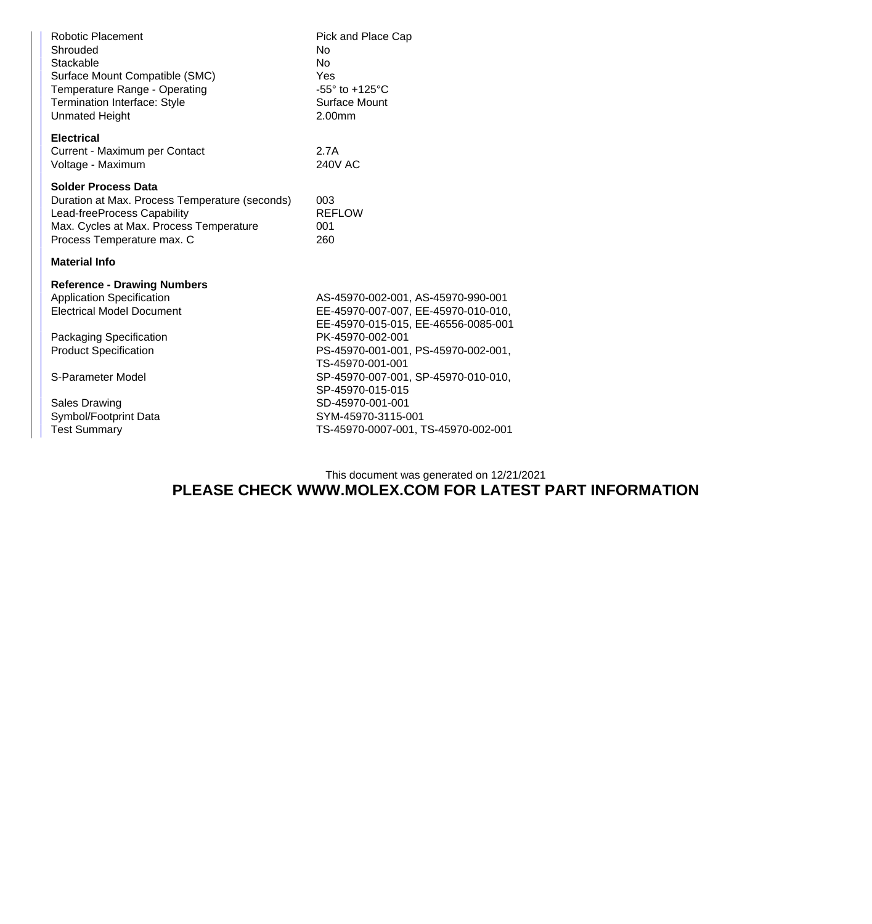| Robotic Placement<br>Shrouded<br>Stackable<br>Surface Mount Compatible (SMC)<br>Temperature Range - Operating<br><b>Termination Interface: Style</b><br><b>Unmated Height</b>              | Pick and Place Cap<br>No<br><b>No</b><br>Yes<br>$-55^\circ$ to $+125^\circ$ C<br>Surface Mount<br>2.00mm                                                                                                                               |
|--------------------------------------------------------------------------------------------------------------------------------------------------------------------------------------------|----------------------------------------------------------------------------------------------------------------------------------------------------------------------------------------------------------------------------------------|
| <b>Electrical</b><br>Current - Maximum per Contact<br>Voltage - Maximum                                                                                                                    | 2.7A<br><b>240V AC</b>                                                                                                                                                                                                                 |
| <b>Solder Process Data</b><br>Duration at Max. Process Temperature (seconds)<br>Lead-freeProcess Capability<br>Max. Cycles at Max. Process Temperature<br>Process Temperature max. C       | 003<br><b>REFLOW</b><br>001<br>260                                                                                                                                                                                                     |
| <b>Material Info</b>                                                                                                                                                                       |                                                                                                                                                                                                                                        |
| <b>Reference - Drawing Numbers</b><br><b>Application Specification</b><br><b>Electrical Model Document</b><br>Packaging Specification<br><b>Product Specification</b><br>S-Parameter Model | AS-45970-002-001, AS-45970-990-001<br>EE-45970-007-007, EE-45970-010-010,<br>EE-45970-015-015, EE-46556-0085-001<br>PK-45970-002-001<br>PS-45970-001-001, PS-45970-002-001,<br>TS-45970-001-001<br>SP-45970-007-001, SP-45970-010-010, |
| <b>Sales Drawing</b><br>Symbol/Footprint Data<br><b>Test Summary</b>                                                                                                                       | SP-45970-015-015<br>SD-45970-001-001<br>SYM-45970-3115-001<br>TS-45970-0007-001, TS-45970-002-001                                                                                                                                      |

## This document was generated on 12/21/2021 **PLEASE CHECK WWW.MOLEX.COM FOR LATEST PART INFORMATION**